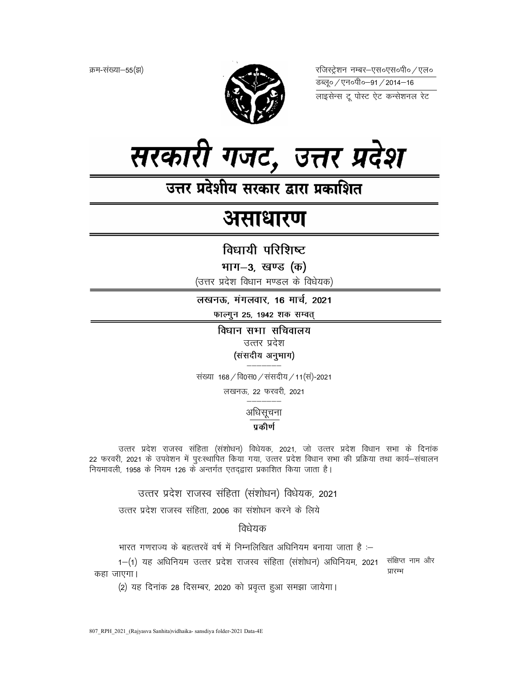क्रम-संख्या–55(झ)



रजिस्ट्रेशन नम्बर–एस०एस०पी० ⁄ एल० 



# असाधारण

विधायी परिशिष्ट

भाग-3, खण्ड (क)

(उत्तर प्रदेश विधान मण्डल के विधेयक)

लखनऊ, मंगलवार, 16 मार्च, 2021

फाल्गुन 25, 1942 शक सम्वत्

विधान सभा सचिवालय उत्तर प्रदेश (संसदीय अनुभाग)

संख्या 168 / वि0स0 / संसदीय / 11 (सं)-2021

लखनऊ, 22 फरवरी, 2021

अधिसूचना

# प्रकीर्ण

उत्तर प्रदेश राजस्व संहिता (संशोधन) विधेयक, 2021, जो उत्तर प्रदेश विधान सभा के दिनांक 22 फरवरी, 2021 के उपवेशन में पुरःस्थापित किया गया, उत्तर प्रदेश विधान सभा की प्रक्रिया तथा कार्य–संचालन नियमावली, 1958 के नियम 126 के अन्तर्गत एतदद्वारा प्रकाशित किया जाता है।

उत्तर प्रदेश राजस्व संहिता (संशोधन) विधेयक, 2021

उत्तर प्रदेश राजस्व संहिता, 2006 का संशोधन करने के लिये

विधेयक

भारत गणराज्य के बहत्तरवें वर्ष में निम्नलिखित अधिनियम बनाया जाता है :–

1-(1) यह अधिनियम उत्तर प्रदेश राजस्व संहिता (संशोधन) अधिनियम, 2021 संक्षिप्त नाम और प्रारम्भ कहा जाएगा।

(2) यह दिनांक 28 दिसम्बर, 2020 को प्रवृत्त हुआ समझा जायेगा।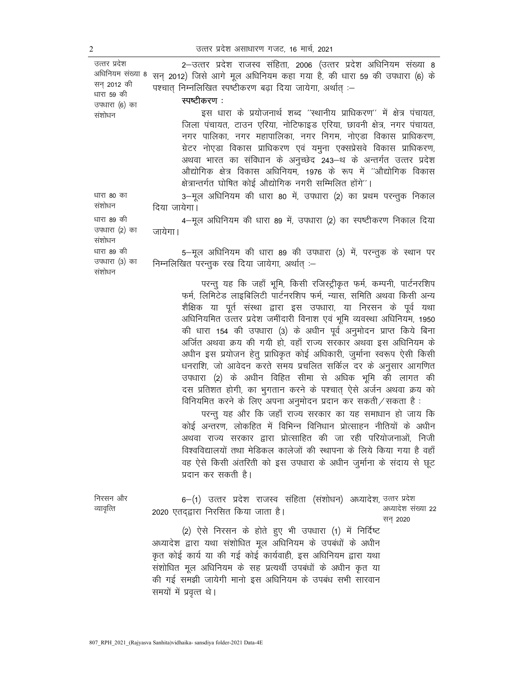अधिनियम संख्या 8 सन् 2012) जिसे आगे मूल अधिनियम कहा गया है, की धारा 59 की उपधारा (6) के सन 2012 की धारा 59 की उपधारा (6) का संशोधन 2-उत्तर प्रदेश राजस्व संहिता, 2006 (उत्तर प्रदेश अधिनियम संख्या 8 पश्चात् निम्नलिखित स्पष्टीकरण बढ़ा दिया जायेगा, अर्थात् :– स्पष्टीकरण: इस धारा के प्रयोजनार्थ शब्द ''स्थानीय प्राधिकरण'' में क्षेत्र पंचायत, जिला पंचायत, टाउन एरिया, नोटिफाइड एरिया, छावनी क्षेत्र, नगर पंचायत, नगर पालिका, नगर महापालिका, नगर निगम, नोएडा विकास प्राधिकरण, ग्रेटर नोएडा विकास प्राधिकरण एवं यमुना एक्सप्रेसवे विकास प्राधिकरण, अथवा भारत का संविधान के अनुच्छेद 243–थ के अन्तर्गत उत्तर प्रदेश औद्योगिक क्षेत्र विकास अधिनियम, 1976 के रूप में ''औद्योगिक विकास क्षेत्रान्तर्गत घोषित कोई औद्योगिक नगरी सम्मिलित होंगे''। धारा 80 का संशोधन 3-मूल अधिनियम की धारा 80 में, उपधारा (2) का प्रथम परन्तुक निकाल दिया जायेगा। धारा 89 की उपधारा (2) का संशोधन 4-मूल अधिनियम की धारा 89 में, उपधारा (2) का स्पष्टीकरण निकाल दिया जायेगा। धारा 89 की उपधारा (3) का संशोधन 5—मूल अधिनियम की धारा 89 की उपधारा (3) में, परन्तुक के स्थान पर निम्नलिखित परन्तुक रख दिया जायेगा, अर्थात् :– परन्तु यह कि जहाँ भूमि, किसी रजिस्ट्रीकृत फर्म, कम्पनी, पार्टनरशिप फर्म, लिमिटेड लाइबिलिटी पार्टनरशिप फर्म, न्यास, समिति अथवा किसी अन्य शैक्षिक या पूर्त संस्था द्वारा इस उपधारा, या निरसन के पूर्व यथा अधिनियमित उत्तर प्रदेश जमींदारी विनाश एवं भूमि व्यवस्था अधिनियम, 1950 की धारा 154 की उपधारा (3) के अधीन पूर्व अनुमोदन प्राप्त किये बिना अर्जित अथवा क्रय की गयी हो, वहाँ राज्य सरकार अथवा इस अधिनियम के अधीन इस प्रयोजन हेतू प्राधिकृत कोई अधिकारी, जुर्माना स्वरूप ऐसी किसी धनराशि, जो आवेदन करते समय प्रचलित सर्किल दर के अनुसार आगणित उपधारा (2) के अधीन विहित सीमा से अधिक भूमि की लागत की दस प्रतिशत होगी, का भुगतान करने के पश्चात् ऐसे अर्जन अथवा क्रय को विनियमित करने के लिए अपना अनुमोदन प्रदान कर सकती/सकता है:

परन्तु यह और कि जहाँ राज्य सरकार का यह समाधान हो जाय कि कोई अन्तरण, लोकहित में विभिन्न विनिधान प्रोत्साहन नीतियों के अधीन अथवा राज्य सरकार द्वारा प्रोत्साहित की जा रही परियोजनाओं, निजी विश्वविद्यालयों तथा मेडिकल कालेजों की स्थापना के लिये किया गया है वहाँ वह ऐसे किसी अंतरिती को इस उपधारा के अधीन जुर्माना के संदाय से छूट प्रदान कर सकती है।

निरसन और व्यावृत्ति 6—(1) उत्तर प्रदेश राजस्व संहिता (संशोधन) अध्यादेश, <sup>उत्तर प्रदेश</sup> 2020 एतदद्वारा निरसित किया जाता है। अध्यादेश संख्या 22 सन 2020 (2) ऐसे निरसन के होते हुए भी उपधारा (1) में निर्दिष्ट

अध्यादेश द्वारा यथा संशोधित मूल अधिनियम के उपबंधों के अधीन कृत कोई कार्य या की गई कोई कार्यवाही, इस अधिनियम द्वारा यथा संशोधित मूल अधिनियम के सह प्रत्यर्थी उपबंधों के अधीन कृत या की गई समझी जायेगी मानो इस अधिनियम के उपबंध सभी सारवान समयों में प्रवृत्त थे।

उत्तर प्रदेश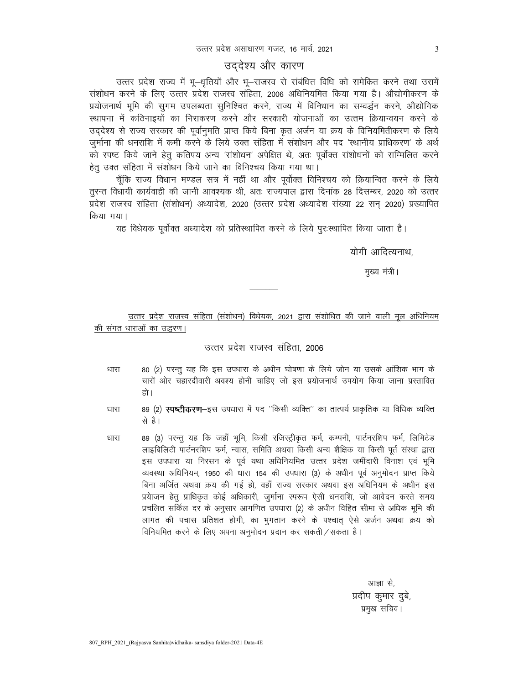# उद्देश्य और कारण

उत्तर प्रदेश राज्य में भू-धृतियों और भू-राजस्व से संबंधित विधि को समेकित करने तथा उसमें संशोधन करने के लिए उत्तर प्रदेश राजस्व संहिता, 2006 अधिनियमित किया गया है। औद्योगीकरण के प्रयोजनार्थ भूमि की सुगम उपलब्धता सुनिश्चित करने, राज्य में विनिधान का सम्वर्द्धन करने, औद्योगिक स्थापना में कठिनाइयों का निराकरण करने और सरकारी योजनाओं का उत्तन क्रियान्वयन करने के उददेश्य से राज्य सरकार की पूर्वानुमति प्राप्त किये बिना कृत अर्जन या क्रय के विनियमितीकरण के लिये जुर्माना की धनराशि में कमी करने के लिये उक्त संहिता में संशोधन और पद 'स्थानीय प्राधिकरण' के अर्थ को स्पष्ट किये जाने हेतु कतिपय अन्य 'संशोधन' अपेक्षित थे, अतः पूर्वोक्त संशोधनों को सम्मिलित करने हेतू उक्त संहिता में संशोधन किये जाने का विनिश्चय किया गया था।

चूँकि राज्य विधान मण्डल सत्र में नहीं था और पूर्वोक्त विनिश्चय को क्रियान्वित करने के लिये तुरन्त विधायी कार्यवाही की जानी आवश्यक थी, अतः राज्यपाल द्वारा दिनांक 28 दिसम्बर, 2020 को उत्तर प्रदेश राजस्व संहिता (संशोधन) अध्यादेश, 2020 (उत्तर प्रदेश अध्यादेश संख्या 22 सन 2020) प्रख्यापित किया गया।

यह विधेयक पूर्वोक्त अध्यादेश को प्रतिस्थापित करने के लिये पुरःस्थापित किया जाता है।

योगी आदित्यनाथ.

मुख्य मंत्री।

उत्तर प्रदेश राजस्व संहिता (संशोधन) विधेयक, 2021 द्वारा संशोधित की जाने वाली मूल अधिनियम की संगत धाराओं का उद्धरण।

## उत्तर प्रदेश राजस्व संहिता, 2006

- 80 (2) परन्तू यह कि इस उपधारा के अधीन घोषणा के लिये जोन या उसके आंशिक भाग के धारा चारों ओर चहारदीवारी अवश्य होनी चाहिए जो इस प्रयोजनार्थ उपयोग किया जाना प्रस्तावित हो ।
- 89 (2) स्पष्टीकरण-इस उपधारा में पद "किसी व्यक्ति" का तात्पर्य प्राकृतिक या विधिक व्यक्ति धारा से है।
- 89 (3) परन्तु यह कि जहाँ भूमि, किसी रजिस्ट्रीकृत फर्म, कम्पनी, पार्टनरशिप फर्म, लिमिटेड धारा लाइबिलिटी पार्टनरशिप फर्म, न्यास, समिति अथवा किसी अन्य शैक्षिक या किसी पूर्त संस्था द्वारा इस उपधारा या निरसन के पूर्व यथा अधिनियमित उत्तर प्रदेश जमींदारी विनाश एवं भूमि व्यवस्था अधिनियम, 1950 की धारा 154 की उपधारा (3) के अधीन पूर्व अनुमोदन प्राप्त किये बिना अर्जित अथवा क्रय की गई हो, वहाँ राज्य सरकार अथवा इस अधिनियम के अधीन इस प्रयेाजन हेतु प्राधिकृत कोई अधिकारी, जुर्माना स्परूप ऐसी धनराशि, जो आवेदन करते समय प्रचलित सर्किल दर के अनुसार आगणित उपधारा (2) के अधीन विहित सीमा से अधिक भूमि की लागत की पचास प्रतिशत होगी, का भुगतान करने के पश्चात् ऐसे अर्जन अथवा क्रय को विनियमित करने के लिए अपना अनुमोदन प्रदान कर सकती / सकता है।

आज्ञा से. प्रदीप कुमार दुबे, प्रमुख सचिव ।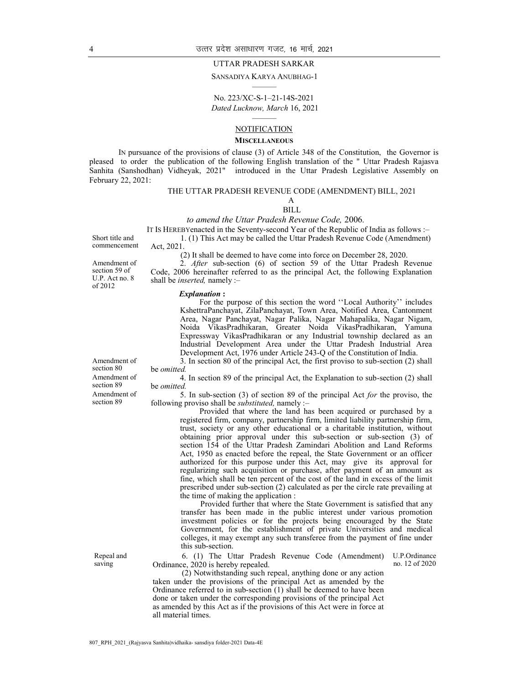#### UTTAR PRADESH SARKAR

#### SANSADIYA KARYA ANUBHAG-1 ———

No. 223/XC-S-1–21-14S-2021 Dated Lucknow, March 16, 2021

### ——— **NOTIFICATION**

#### **MISCELLANEOUS**

IN pursuance of the provisions of clause (3) of Article 348 of the Constitution, the Governor is pleased to order the publication of the following English translation of the " Uttar Pradesh Rajasva Sanhita (Sanshodhan) Vidheyak, 2021" introduced in the Uttar Pradesh Legislative Assembly on February 22, 2021:

#### THE UTTAR PRADESH REVENUE CODE (AMENDMENT) BILL, 2021

A BILL

to amend the Uttar Pradesh Revenue Code, 2006.

IT IS HEREBYenacted in the Seventy-second Year of the Republic of India as follows :–

1. (1) This Act may be called the Uttar Pradesh Revenue Code (Amendment) Act, 2021.

commencement

Short title and

Amendment of section 59 of U.P. Act no. 8 of 2012

(2) It shall be deemed to have come into force on December 28, 2020.

 $2.$  *After* sub-section (6) of section 59 of the Uttar Pradesh Revenue Code, 2006 hereinafter referred to as the principal Act, the following Explanation shall be *inserted*, namely :-

#### Explanation :

For the purpose of this section the word ''Local Authority'' includes KshettraPanchayat, ZilaPanchayat, Town Area, Notified Area, Cantonment Area, Nagar Panchayat, Nagar Palika, Nagar Mahapalika, Nagar Nigam, Noida VikasPradhikaran, Greater Noida VikasPradhikaran, Yamuna Expressway VikasPradhikaran or any Industrial township declared as an Industrial Development Area under the Uttar Pradesh Industrial Area Development Act, 1976 under Article 243-Q of the Constitution of India.

3. In section 80 of the principal Act, the first proviso to sub-section (2) shall be omitted.

4. In section 89 of the principal Act, the Explanation to sub-section (2) shall be omitted.

5. In sub-section (3) of section 89 of the principal Act for the proviso, the following proviso shall be substituted, namely :–

> Provided that where the land has been acquired or purchased by a registered firm, company, partnership firm, limited liability partnership firm, trust, society or any other educational or a charitable institution, without obtaining prior approval under this sub-section or sub-section (3) of section 154 of the Uttar Pradesh Zamindari Abolition and Land Reforms Act, 1950 as enacted before the repeal, the State Government or an officer authorized for this purpose under this Act, may give its approval for regularizing such acquisition or purchase, after payment of an amount as fine, which shall be ten percent of the cost of the land in excess of the limit prescribed under sub-section (2) calculated as per the circle rate prevailing at the time of making the application :

> Provided further that where the State Government is satisfied that any transfer has been made in the public interest under various promotion investment policies or for the projects being encouraged by the State Government, for the establishment of private Universities and medical colleges, it may exempt any such transferee from the payment of fine under this sub-section.

6. (1) The Uttar Pradesh Revenue Code (Amendment) Ordinance, 2020 is hereby repealed. U.P.Ordinance no. 12 of 2020

(2) Notwithstanding such repeal, anything done or any action taken under the provisions of the principal Act as amended by the Ordinance referred to in sub-section  $(1)$  shall be deemed to have been done or taken under the corresponding provisions of the principal Act as amended by this Act as if the provisions of this Act were in force at all material times.

Amendment of section 80 Amendment of section 89 Amendment of section 89

Repeal and saving